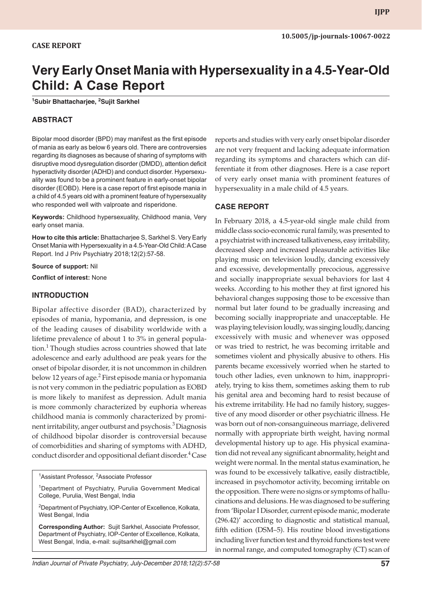# **CASE REPORT**

# **Very Early Onset Mania with Hypersexuality in a 4.5-Year-Old Child: A Case Report**

**1 Subir Bhattacharjee, 2 Sujit Sarkhel**

### **ABSTRACT**

Bipolar mood disorder (BPD) may manifest as the first episode of mania as early as below 6 years old. There are controversies regarding its diagnoses as because of sharing of symptoms with disruptive mood dysregulation disorder (DMDD), attention deficit hyperactivity disorder (ADHD) and conduct disorder. Hypersexuality was found to be a prominent feature in early-onset bipolar disorder (EOBD). Here is a case report of first episode mania in a child of 4.5 years old with a prominent feature of hypersexuality who responded well with valproate and risperidone.

**Keywords:** Childhood hypersexuality, Childhood mania, Very early onset mania.

**How to cite this article:** Bhattacharjee S, Sarkhel S. Very Early Onset Mania with Hypersexuality in a 4.5-Year-Old Child: A Case Report. Ind J Priv Psychiatry 2018;12(2):57-58.

**Source of support:** Nil

**Conflict of interest:** None

#### **INTRODUCTION**

Bipolar affective disorder (BAD), characterized by episodes of mania, hypomania, and depression, is one of the leading causes of disability worldwide with a lifetime prevalence of about 1 to 3% in general population.<sup>1</sup> Though studies across countries showed that late adolescence and early adulthood are peak years for the onset of bipolar disorder, it is not uncommon in children below 12 years of age.<sup>2</sup> First episode mania or hypomania is not very common in the pediatric population as EOBD is more likely to manifest as depression. Adult mania is more commonly characterized by euphoria whereas childhood mania is commonly characterized by prominent irritability, anger outburst and psychosis.<sup>3</sup> Diagnosis of childhood bipolar disorder is controversial because of comorbidities and sharing of symptoms with ADHD, conduct disorder and oppositional defiant disorder.<sup>4</sup> Case

<sup>1</sup>Assistant Professor, <sup>2</sup>Associate Professor

<sup>1</sup>Department of Psychiatry, Purulia Government Medical College, Purulia, West Bengal, India

<sup>2</sup>Department of Psychiatry, IOP-Center of Excellence, Kolkata, West Bengal, India

**Corresponding Author:** Sujit Sarkhel, Associate Professor, Department of Psychiatry, IOP-Center of Excellence, Kolkata, West Bengal, India, e-mail: sujitsarkhel@gmail.com

reports and studies with very early onset bipolar disorder are not very frequent and lacking adequate information regarding its symptoms and characters which can differentiate it from other diagnoses. Here is a case report of very early onset mania with prominent features of hypersexuality in a male child of 4.5 years.

#### **CASE REPORT**

In February 2018, a 4.5-year-old single male child from middle class socio-economic rural family, was presented to a psychiatrist with increased talkativeness, easy irritability, decreased sleep and increased pleasurable activities like playing music on television loudly, dancing excessively and excessive, developmentally precocious, aggressive and socially inappropriate sexual behaviors for last 4 weeks. According to his mother they at first ignored his behavioral changes supposing those to be excessive than normal but later found to be gradually increasing and becoming socially inappropriate and unacceptable. He was playing television loudly, was singing loudly, dancing excessively with music and whenever was opposed or was tried to restrict, he was becoming irritable and sometimes violent and physically abusive to others. His parents became excessively worried when he started to touch other ladies, even unknown to him, inappropriately, trying to kiss them, sometimes asking them to rub his genital area and becoming hard to resist because of his extreme irritability. He had no family history, suggestive of any mood disorder or other psychiatric illness. He was born out of non-consanguineous marriage, delivered normally with appropriate birth weight, having normal developmental history up to age. His physical examination did not reveal any significant abnormality, height and weight were normal. In the mental status examination, he was found to be excessively talkative, easily distractible, increased in psychomotor activity, becoming irritable on the opposition. There were no signs or symptoms of hallucinations and delusions. He was diagnosed to be suffering from 'Bipolar I Disorder, current episode manic, moderate (296.42)' according to diagnostic and statistical manual, fifth edition (DSM–5). His routine blood investigations including liver function test and thyroid functions test were in normal range, and computed tomography (CT) scan of